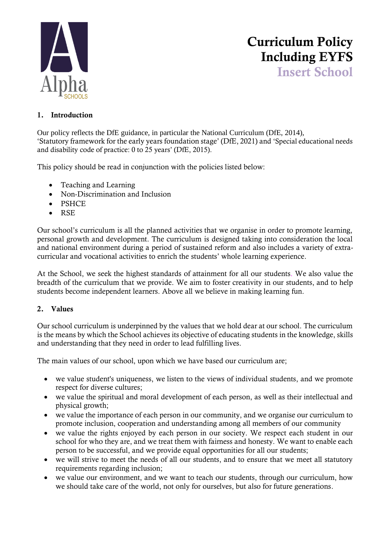

# Curriculum Policy Including EYFS Insert School

### 1. Introduction

Our policy reflects the DfE guidance, in particular the National Curriculum (DfE, 2014), 'Statutory framework for the early years foundation stage' (DfE, 2021) and 'Special educational needs and disability code of practice: 0 to 25 years' (DfE, 2015).

This policy should be read in conjunction with the policies listed below:

- Teaching and Learning
- Non-Discrimination and Inclusion
- PSHCE
- RSE

Our school's curriculum is all the planned activities that we organise in order to promote learning, personal growth and development. The curriculum is designed taking into consideration the local and national environment during a period of sustained reform and also includes a variety of extracurricular and vocational activities to enrich the students' whole learning experience.

At the School, we seek the highest standards of attainment for all our students. We also value the breadth of the curriculum that we provide. We aim to foster creativity in our students, and to help students become independent learners. Above all we believe in making learning fun.

## 2. Values

Our school curriculum is underpinned by the values that we hold dear at our school. The curriculum is the means by which the School achieves its objective of educating students in the knowledge, skills and understanding that they need in order to lead fulfilling lives.

The main values of our school, upon which we have based our curriculum are;

- we value student's uniqueness, we listen to the views of individual students, and we promote respect for diverse cultures;
- we value the spiritual and moral development of each person, as well as their intellectual and physical growth;
- we value the importance of each person in our community, and we organise our curriculum to promote inclusion, cooperation and understanding among all members of our community
- we value the rights enjoyed by each person in our society. We respect each student in our school for who they are, and we treat them with fairness and honesty. We want to enable each person to be successful, and we provide equal opportunities for all our students;
- we will strive to meet the needs of all our students, and to ensure that we meet all statutory requirements regarding inclusion;
- we value our environment, and we want to teach our students, through our curriculum, how we should take care of the world, not only for ourselves, but also for future generations.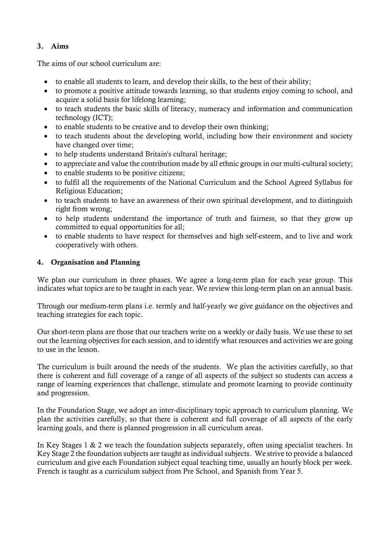### 3. Aims

The aims of our school curriculum are:

- to enable all students to learn, and develop their skills, to the best of their ability;
- to promote a positive attitude towards learning, so that students enjoy coming to school, and acquire a solid basis for lifelong learning;
- to teach students the basic skills of literacy, numeracy and information and communication technology (ICT);
- to enable students to be creative and to develop their own thinking;
- to teach students about the developing world, including how their environment and society have changed over time;
- to help students understand Britain's cultural heritage;
- to appreciate and value the contribution made by all ethnic groups in our multi-cultural society;
- to enable students to be positive citizens;
- to fulfil all the requirements of the National Curriculum and the School Agreed Syllabus for Religious Education;
- to teach students to have an awareness of their own spiritual development, and to distinguish right from wrong;
- to help students understand the importance of truth and fairness, so that they grow up committed to equal opportunities for all;
- to enable students to have respect for themselves and high self-esteem, and to live and work cooperatively with others.

#### 4. Organisation and Planning

We plan our curriculum in three phases. We agree a long-term plan for each year group. This indicates what topics are to be taught in each year. We review this long-term plan on an annual basis.

Through our medium-term plans i.e. termly and half-yearly we give guidance on the objectives and teaching strategies for each topic.

Our short-term plans are those that our teachers write on a weekly or daily basis. We use these to set out the learning objectives for each session, and to identify what resources and activities we are going to use in the lesson.

The curriculum is built around the needs of the students. We plan the activities carefully, so that there is coherent and full coverage of a range of all aspects of the subject so students can access a range of learning experiences that challenge, stimulate and promote learning to provide continuity and progression.

In the Foundation Stage, we adopt an inter-disciplinary topic approach to curriculum planning. We plan the activities carefully, so that there is coherent and full coverage of all aspects of the early learning goals, and there is planned progression in all curriculum areas.

In Key Stages 1 & 2 we teach the foundation subjects separately, often using specialist teachers. In Key Stage 2 the foundation subjects are taught as individual subjects. We strive to provide a balanced curriculum and give each Foundation subject equal teaching time, usually an hourly block per week. French is taught as a curriculum subject from Pre School, and Spanish from Year 5.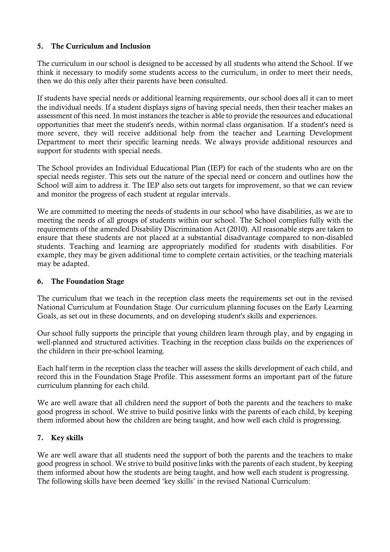### 5. The Curriculum and Inclusion

The curriculum in our school is designed to be accessed by all students who attend the School. If we think it necessary to modify some students access to the curriculum, in order to meet their needs, then we do this only after their parents have been consulted.

If students have special needs or additional learning requirements, our school does all it can to meet the individual needs. If a student displays signs of having special needs, then their teacher makes an assessment of this need. In most instances the teacher is able to provide the resources and educational opportunities that meet the student's needs, within normal class organisation. If a student's need is more severe, they will receive additional help from the teacher and Learning Development Department to meet their specific learning needs. We always provide additional resources and support for students with special needs.

The School provides an Individual Educational Plan (IEP) for each of the students who are on the special needs register. This sets out the nature of the special need or concern and outlines how the School will aim to address it. The IEP also sets out targets for improvement, so that we can review and monitor the progress of each student at regular intervals.

We are committed to meeting the needs of students in our school who have disabilities, as we are to meeting the needs of all groups of students within our school. The School complies fully with the requirements of the amended Disability Discrimination Act (2010). All reasonable steps are taken to ensure that these students are not placed at a substantial disadvantage compared to non-disabled students. Teaching and learning are appropriately modified for students with disabilities. For example, they may be given additional time to complete certain activities, or the teaching materials may be adapted.

#### 6. The Foundation Stage

The curriculum that we teach in the reception class meets the requirements set out in the revised National Curriculum at Foundation Stage. Our curriculum planning focuses on the Early Learning Goals, as set out in these documents, and on developing student's skills and experiences.

Our school fully supports the principle that young children learn through play, and by engaging in well-planned and structured activities. Teaching in the reception class builds on the experiences of the children in their pre-school learning.

Each half term in the reception class the teacher will assess the skills development of each child, and record this in the Foundation Stage Profile. This assessment forms an important part of the future curriculum planning for each child.

We are well aware that all children need the support of both the parents and the teachers to make good progress in school. We strive to build positive links with the parents of each child, by keeping them informed about how the children are being taught, and how well each child is progressing.

## 7. Key skills

We are well aware that all students need the support of both the parents and the teachers to make good progress in school. We strive to build positive links with the parents of each student, by keeping them informed about how the students are being taught, and how well each student is progressing. The following skills have been deemed 'key skills' in the revised National Curriculum: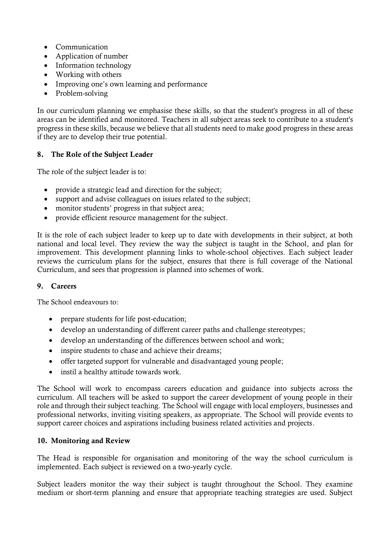- Communication
- Application of number
- Information technology
- Working with others
- Improving one's own learning and performance
- Problem-solving

In our curriculum planning we emphasise these skills, so that the student's progress in all of these areas can be identified and monitored. Teachers in all subject areas seek to contribute to a student's progress in these skills, because we believe that all students need to make good progress in these areas if they are to develop their true potential.

#### 8. The Role of the Subject Leader

The role of the subject leader is to:

- provide a strategic lead and direction for the subject;
- support and advise colleagues on issues related to the subject;
- monitor students' progress in that subject area;
- provide efficient resource management for the subject.

It is the role of each subject leader to keep up to date with developments in their subject, at both national and local level. They review the way the subject is taught in the School, and plan for improvement. This development planning links to whole-school objectives. Each subject leader reviews the curriculum plans for the subject, ensures that there is full coverage of the National Curriculum, and sees that progression is planned into schemes of work.

#### 9. Careers

The School endeavours to:

- prepare students for life post-education;
- develop an understanding of different career paths and challenge stereotypes;
- develop an understanding of the differences between school and work;
- inspire students to chase and achieve their dreams:
- offer targeted support for vulnerable and disadvantaged young people;
- instil a healthy attitude towards work.

The School will work to encompass careers education and guidance into subjects across the curriculum. All teachers will be asked to support the career development of young people in their role and through their subject teaching. The School will engage with local employers, businesses and professional networks, inviting visiting speakers, as appropriate. The School will provide events to support career choices and aspirations including business related activities and projects.

#### 10. Monitoring and Review

The Head is responsible for organisation and monitoring of the way the school curriculum is implemented. Each subject is reviewed on a two-yearly cycle.

Subject leaders monitor the way their subject is taught throughout the School. They examine medium or short-term planning and ensure that appropriate teaching strategies are used. Subject